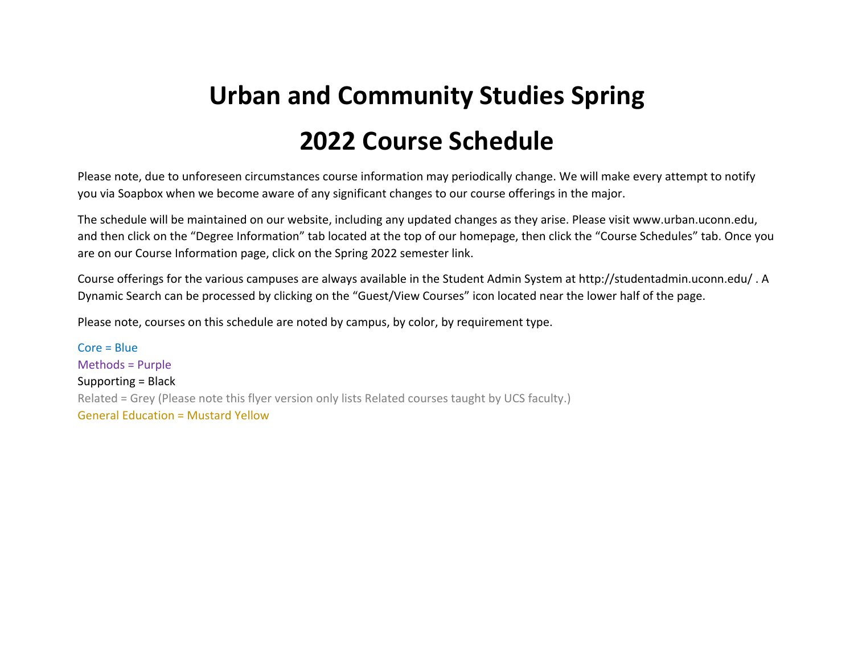## **Urban and Community Studies Spring 2022 Course Schedule**

Please note, due to unforeseen circumstances course information may periodically change. We will make every attempt to notify you via Soapbox when we become aware of any significant changes to our course offerings in the major.

The schedule will be maintained on our website, including any updated changes as they arise. Please visit www.urban.uconn.edu, and then click on the "Degree Information" tab located at the top of our homepage, then click the "Course Schedules" tab. Once you are on our Course Information page, click on the Spring 2022 semester link.

Course offerings for the various campuses are always available in the Student Admin System at http://studentadmin.uconn.edu/ . A Dynamic Search can be processed by clicking on the "Guest/View Courses" icon located near the lower half of the page.

Please note, courses on this schedule are noted by campus, by color, by requirement type.

Core <sup>=</sup> Blue Methods <sup>=</sup> Purple Supporting <sup>=</sup> Black Related <sup>=</sup> Grey (Please note this flyer version only lists Related courses taught by UCS faculty.) General Education <sup>=</sup> Mustard Yellow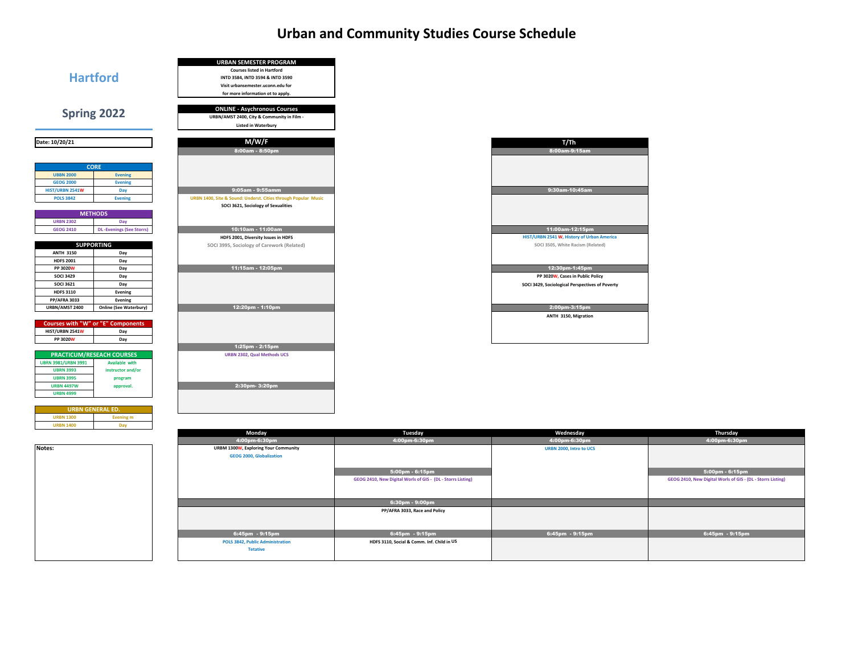## **Urban and Community Studies Course Schedule**



an<br>Ma

| T/Th                                            |  |
|-------------------------------------------------|--|
| 8:00am-9:15am                                   |  |
|                                                 |  |
|                                                 |  |
|                                                 |  |
| 9:30am-10:45am                                  |  |
|                                                 |  |
|                                                 |  |
|                                                 |  |
|                                                 |  |
| 11:00am-12:15pm                                 |  |
| HIST/URBN 2541 W, History of Urban America      |  |
| SOCI 3505, White Racism (Related)               |  |
|                                                 |  |
| 12:30pm-1:45pm                                  |  |
| PP 3020W, Cases in Public Policy                |  |
| SOCI 3429, Sociological Perspectives of Poverty |  |
|                                                 |  |
|                                                 |  |
| 2:00pm-3:15pm                                   |  |
| ANTH 3150, Migration                            |  |
|                                                 |  |
|                                                 |  |
|                                                 |  |

| Monday                               | Tuesday                                                     | Wednesday               | Thursday                                                    |
|--------------------------------------|-------------------------------------------------------------|-------------------------|-------------------------------------------------------------|
| 4:00pm-6:30pm                        | 4:00pm-6:30pm                                               | 4:00pm-6:30pm           | 4:00pm-6:30pm                                               |
| URBM 1300W, Exploring Your Community |                                                             | URBN 2000, Intro to UCS |                                                             |
| <b>GEOG 2000, Globalization</b>      |                                                             |                         |                                                             |
|                                      |                                                             |                         |                                                             |
|                                      | $5:00$ pm - $6:15$ pm                                       |                         | 5:00pm - 6:15pm                                             |
|                                      | GEOG 2410, New Digital Worls of GIS - (DL - Storrs Listing) |                         | GEOG 2410, New Digital Worls of GIS - (DL - Storrs Listing) |
|                                      |                                                             |                         |                                                             |
|                                      |                                                             |                         |                                                             |
|                                      | $6:30pm - 9:00pm$                                           |                         |                                                             |
|                                      | PP/AFRA 3033, Race and Policy                               |                         |                                                             |
|                                      |                                                             |                         |                                                             |
|                                      |                                                             |                         |                                                             |
| $6:45$ pm - $9:15$ pm                | $6:45$ pm - 9:15pm                                          | $6:45$ pm - $9:15$ pm   | 6:45pm - 9:15pm                                             |
| POLS 3842, Public Administration     | HDFS 3110, Social & Comm. Inf. Child in US                  |                         |                                                             |
| <b>Tetative</b>                      |                                                             |                         |                                                             |
|                                      |                                                             |                         |                                                             |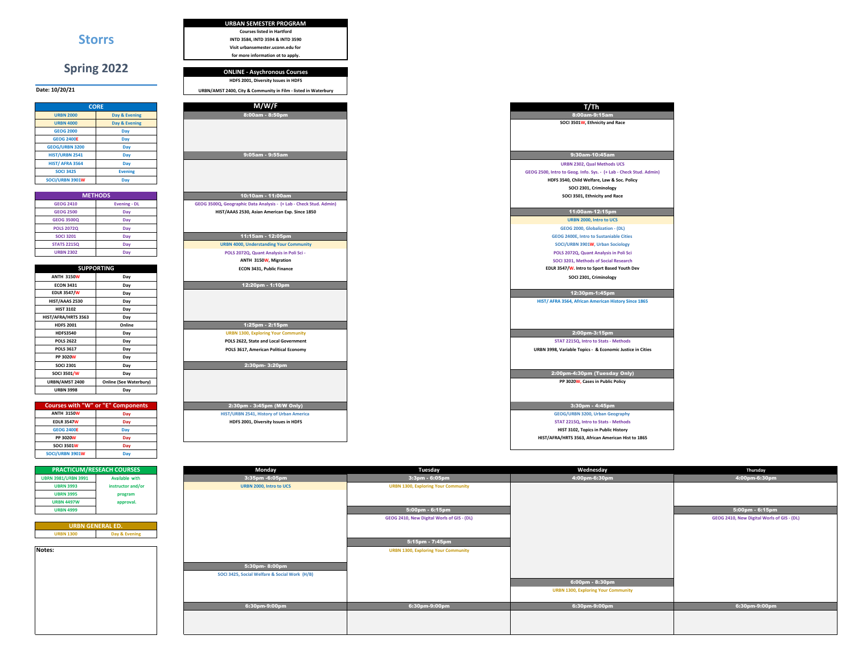|                        |                                           | <b>Courses listed in Hartford</b>                                  |
|------------------------|-------------------------------------------|--------------------------------------------------------------------|
|                        | <b>Storrs</b>                             | INTD 3584, INTD 3594 & INTD 3590                                   |
|                        |                                           | Visit urbansemester.uconn.edu for                                  |
|                        |                                           | for more information ot to apply.                                  |
|                        | <b>Spring 2022</b>                        |                                                                    |
|                        |                                           | <b>ONLINE - Asychronous Courses</b>                                |
|                        |                                           | HDFS 2001, Diversity Issues in HDFS                                |
| ate: 10/20/21          |                                           | URBN/AMST 2400, City & Community in Film - listed in Waterbury     |
|                        |                                           |                                                                    |
|                        | <b>CORE</b>                               | M/W/F                                                              |
| <b>URBN 2000</b>       | Day & Evening                             | 8:00am - 8:50pm                                                    |
| <b>URBN 4000</b>       | Day & Evening                             |                                                                    |
| <b>GEOG 2000</b>       | Day                                       |                                                                    |
| <b>GEOG 2400E</b>      | Day                                       |                                                                    |
| <b>GEOG/URBN 3200</b>  | Day                                       |                                                                    |
| <b>HIST/URBN 2541</b>  | Day                                       | 9:05am - 9:55am                                                    |
| <b>HIST/ AFRA 3564</b> | Day                                       |                                                                    |
| <b>SOCI 3425</b>       | <b>Evening</b>                            |                                                                    |
| SOCI/URBN 3901W        | Day                                       |                                                                    |
|                        |                                           |                                                                    |
|                        | <b>METHODS</b>                            | 10:10am - 11:00am                                                  |
| <b>GEOG 2410</b>       | <b>Evening - DL</b>                       | GEOG 3500Q, Geographic Data Analysis - (+ Lab - Check Stud. Admin) |
| <b>GEOG 2500</b>       | Day                                       | HIST/AAAS 2530, Asian American Exp. Since 1850                     |
| <b>GEOG 3500Q</b>      | Day                                       |                                                                    |
| <b>POLS 2072Q</b>      |                                           |                                                                    |
| <b>SOCI 3201</b>       | Day                                       | 11:15am - 12:05pm                                                  |
|                        | Day                                       |                                                                    |
| <b>STATS 2215Q</b>     | Day                                       | <b>URBN 4000, Understanding Your Community</b>                     |
| <b>URBN 2302</b>       | Day                                       | POLS 2072Q, Quant Analysis in Poli Sci -                           |
|                        |                                           | ANTH 3150W, Migration                                              |
|                        | <b>SUPPORTING</b>                         | ECON 3431, Public Finance                                          |
| <b>ANTH 3150W</b>      | Day                                       |                                                                    |
| <b>ECON 3431</b>       | Day                                       | 12:20pm - 1:10pm                                                   |
| <b>EDLR 3547/W</b>     | Day                                       |                                                                    |
| HIST/AAAS 2530         | Day                                       |                                                                    |
| <b>HIST 3102</b>       | Day                                       |                                                                    |
| HIST/AFRA/HRTS 3563    | Day                                       |                                                                    |
| <b>HDFS 2001</b>       | Online                                    | 1:25pm - 2:15pm                                                    |
| <b>HDFS3540</b>        | Day                                       | <b>URBN 1300, Exploring Your Community</b>                         |
| <b>POLS 2622</b>       | Day                                       | POLS 2622, State and Local Government                              |
| <b>POLS 3617</b>       | Day                                       | POLS 3617, American Political Economy                              |
| <b>PP 3020W</b>        | Day                                       |                                                                    |
| <b>SOCI 2301</b>       | Day                                       | 2:30pm- 3:20pm                                                     |
| <b>SOCI 3501/W</b>     | Day                                       |                                                                    |
| URBN/AMST 2400         | <b>Online (See Waterbury)</b>             |                                                                    |
| <b>URBN 3998</b>       | Day                                       |                                                                    |
|                        |                                           |                                                                    |
|                        | <b>Courses with "W" or "E" Components</b> | 2:30pm - 3:45pm (M/W Only)                                         |
| <b>ANTH 3150W</b>      | Day                                       | HIST/URBN 2541, History of Urban America                           |
| <b>EDLR 3547W</b>      | Day                                       | HDFS 2001, Diversity Issues in HDFS                                |
| <b>GEOG 2400E</b>      | Day                                       |                                                                    |
| PP 3020W               | Day                                       |                                                                    |
| <b>SOCI 3501W</b>      | Day                                       |                                                                    |
|                        |                                           |                                                                    |

**URBAN SEMESTER PROGRAM**

| <b>PRACTICUM/RESEACH COURSES</b> |                   |
|----------------------------------|-------------------|
| <b>UBRN 3981/URBN 3991</b>       | Available with    |
| <b>UBRN 3993</b>                 | instructor and/or |
| <b>UBRN 3995</b>                 | program           |
| <b>URBN 4497W</b>                | approval.         |
| <b>URBN 4999</b>                 |                   |

**Day**

**Date: 10/20/21**

**SOCI/URBN 3901W**

**Notes:**

| <b>PRACTICUM/RESEACH COURSES</b> |                   | Monday                                        | Tuesday                                    | Wednesday                                  | Thursday                                   |
|----------------------------------|-------------------|-----------------------------------------------|--------------------------------------------|--------------------------------------------|--------------------------------------------|
| UBRN 3981/URBN 3991              | Available with    | 3:35pm -6:05pm                                | 3:3pm - 6:05pm                             | 4:00pm-6:30pm                              | 4:00pm-6:30pm                              |
| <b>UBRN 3993</b>                 | instructor and/or | URBN 2000, Intro to UCS                       | <b>URBN 1300, Exploring Your Community</b> |                                            |                                            |
| <b>UBRN 3995</b>                 | program           |                                               |                                            |                                            |                                            |
| <b>URBN 4497W</b>                | approval.         |                                               |                                            |                                            |                                            |
| <b>URBN 4999</b>                 |                   |                                               | 5:00pm - 6:15pm                            |                                            | 5:00pm - 6:15pm                            |
|                                  |                   |                                               | GEOG 2410, New Digital Worls of GIS - (DL) |                                            | GEOG 2410, New Digital Worls of GIS - (DL) |
| <b>URBN GENERAL ED.</b>          |                   |                                               |                                            |                                            |                                            |
| <b>URBN 1300</b>                 | Day & Evening     |                                               |                                            |                                            |                                            |
|                                  |                   |                                               | 5:15pm - 7:45pm                            |                                            |                                            |
| otes:                            |                   |                                               | <b>URBN 1300, Exploring Your Community</b> |                                            |                                            |
|                                  |                   |                                               |                                            |                                            |                                            |
|                                  |                   | 5:30pm-8:00pm                                 |                                            |                                            |                                            |
|                                  |                   | SOCI 3425, Social Welfare & Social Work (H/B) |                                            |                                            |                                            |
|                                  |                   |                                               |                                            | 6:00pm - 8:30pm                            |                                            |
|                                  |                   |                                               |                                            | <b>URBN 1300, Exploring Your Community</b> |                                            |
|                                  |                   |                                               |                                            |                                            |                                            |
|                                  |                   | 6:30pm-9:00pm                                 | 6:30pm-9:00pm                              | 6:30pm-9:00pm                              | 6:30pm-9:00pm                              |
|                                  |                   |                                               |                                            |                                            |                                            |
|                                  |                   |                                               |                                            |                                            |                                            |
|                                  |                   |                                               |                                            |                                            |                                            |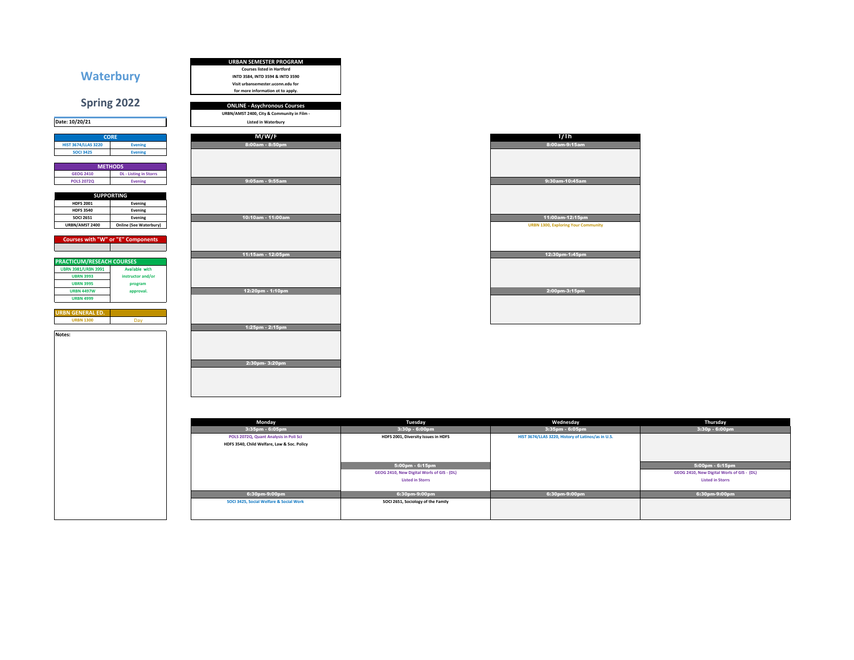| <b>Waterbury</b>                                                                                                          | <b>URBAN SEMESTER PROGRAM</b><br><b>Courses listed in Hartford</b><br>INTD 3584, INTD 3594 & INTD 3590<br>Visit urbansemester.uconn.edu for<br>for more information ot to apply. |                                                                                          |                                                                       |                                                                                          |
|---------------------------------------------------------------------------------------------------------------------------|----------------------------------------------------------------------------------------------------------------------------------------------------------------------------------|------------------------------------------------------------------------------------------|-----------------------------------------------------------------------|------------------------------------------------------------------------------------------|
| Spring 2022                                                                                                               | <b>ONLINE - Asychronous Courses</b><br>URBN/AMST 2400, City & Community in Film -                                                                                                |                                                                                          |                                                                       |                                                                                          |
| Date: 10/20/21                                                                                                            | <b>Listed in Waterbury</b>                                                                                                                                                       |                                                                                          |                                                                       |                                                                                          |
| <b>CORE</b><br><b>HIST 3674/LLAS 3220</b><br><b>Evening</b><br><b>SOCI 3425</b><br><b>Evening</b>                         | M/W/F<br>8:00am - 8:50pm                                                                                                                                                         |                                                                                          | T/Th<br>8:00am-9:15am                                                 |                                                                                          |
| <b>METHODS</b><br><b>GEOG 2410</b><br><b>DL</b> - Listing in Storrs<br><b>POLS 2072Q</b><br>Evening                       | 9:05am - 9:55am                                                                                                                                                                  |                                                                                          | 9:30am-10:45am                                                        |                                                                                          |
| <b>SUPPORTING</b><br><b>HDFS 2001</b><br>Evening<br><b>HDFS 3540</b><br>Evening<br><b>SOCI 2651</b><br>Evening            | 10:10am - 11:00am                                                                                                                                                                |                                                                                          | 11:00am-12:15pm                                                       |                                                                                          |
| URBN/AMST 2400<br><b>Online (See Waterbury)</b><br><b>Courses with "W" or "E" Components</b>                              |                                                                                                                                                                                  |                                                                                          | <b>URBN 1300, Exploring Your Community</b>                            |                                                                                          |
| <b>PRACTICUM/RESEACH COURSES</b><br><b>UBRN 3981/URBN 3991</b><br>Available with<br><b>UBRN 3993</b><br>instructor and/or | 11:15am - 12:05pm                                                                                                                                                                |                                                                                          | 12:30pm-1:45pm                                                        |                                                                                          |
| <b>UBRN 3995</b><br>program<br><b>URBN 4497W</b><br>approval.<br><b>URBN 4999</b>                                         | 12:20pm - 1:10pm                                                                                                                                                                 |                                                                                          | 2:00pm-3:15pm                                                         |                                                                                          |
| <b>URBN GENERAL ED.</b><br><b>URBN 1300</b><br>Day<br>Notes:                                                              | 1:25pm - 2:15pm                                                                                                                                                                  |                                                                                          |                                                                       |                                                                                          |
|                                                                                                                           | 2:30pm- 3:20pm                                                                                                                                                                   |                                                                                          |                                                                       |                                                                                          |
|                                                                                                                           |                                                                                                                                                                                  |                                                                                          |                                                                       |                                                                                          |
|                                                                                                                           | Monday                                                                                                                                                                           | Tuesday                                                                                  | Wednesday                                                             | Thursday                                                                                 |
|                                                                                                                           | 3:35pm - 6:05pm<br>POLS 2072Q, Quant Analysis in Poli Sci<br>HDFS 3540, Child Welfare, Law & Soc. Policy                                                                         | 3:30p - 6:00pm<br>HDFS 2001, Diversity Issues in HDFS                                    | 3:35pm - 6:05pm<br>HIST 3674/LLAS 3220, History of Latinos/as in U.S. | $3:30p - 6:00p$ m                                                                        |
|                                                                                                                           |                                                                                                                                                                                  | 5:00pm - 6:15pm<br>GEOG 2410, New Digital Worls of GIS - (DL)<br><b>Listed in Storrs</b> |                                                                       | 5:00pm - 6:15pm<br>GEOG 2410, New Digital Worls of GIS - (DL)<br><b>Listed in Storrs</b> |
|                                                                                                                           | 6:30pm-9:00pm                                                                                                                                                                    | 6:30pm-9:00pm                                                                            | 6:30pm-9:00pm                                                         | 6:30pm-9:00pm                                                                            |
|                                                                                                                           | SOCI 3425, Social Welfare & Social Work                                                                                                                                          | SOCI 2651, Sociology of the Family                                                       |                                                                       |                                                                                          |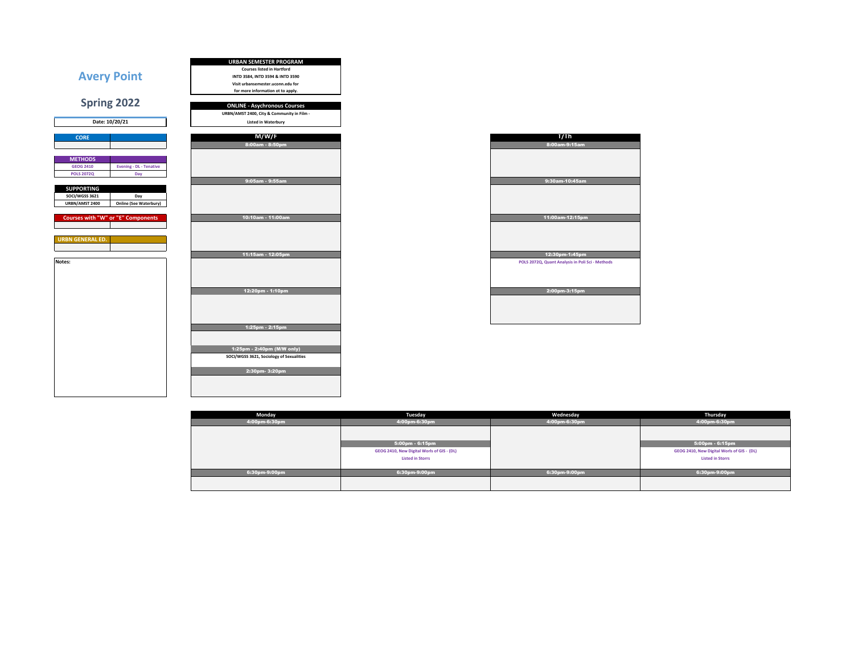

|    | T/Th                                             |
|----|--------------------------------------------------|
| m  | 8:00am-9:15am                                    |
|    |                                                  |
|    |                                                  |
|    |                                                  |
|    |                                                  |
| m, | 9:30am-10:45am                                   |
|    |                                                  |
|    |                                                  |
|    |                                                  |
|    |                                                  |
| am | 11:00am-12:15pm                                  |
|    |                                                  |
|    |                                                  |
|    |                                                  |
|    |                                                  |
| pm | 12:30pm-1:45pm                                   |
|    | POLS 2072Q, Quant Analysis in Poli Sci - Methods |
|    |                                                  |
|    |                                                  |
|    |                                                  |
| m  | 2:00pm-3:15pm                                    |
|    |                                                  |
|    |                                                  |
|    |                                                  |
|    |                                                  |

| Monday        | Tuesday                                    | Wednesday     | Thursday                                   |
|---------------|--------------------------------------------|---------------|--------------------------------------------|
| 4:00pm-6:30pm | 4:00pm-6:30pm                              | 4:00pm-6:30pm | 4:00pm-6:30pm                              |
|               |                                            |               |                                            |
|               |                                            |               |                                            |
|               | 5:00pm - 6:15pm                            |               | 5:00pm - 6:15pm                            |
|               | GEOG 2410, New Digital Worls of GIS - (DL) |               | GEOG 2410, New Digital Worls of GIS - (DL) |
|               | <b>Listed in Storrs</b>                    |               | <b>Listed in Storrs</b>                    |
|               |                                            |               |                                            |
| 6:30pm-9:00pm | 6:30pm-9:00pm                              | 6:30pm-9:00pm | 6:30pm-9:00pm                              |
|               |                                            |               |                                            |
|               |                                            |               |                                            |